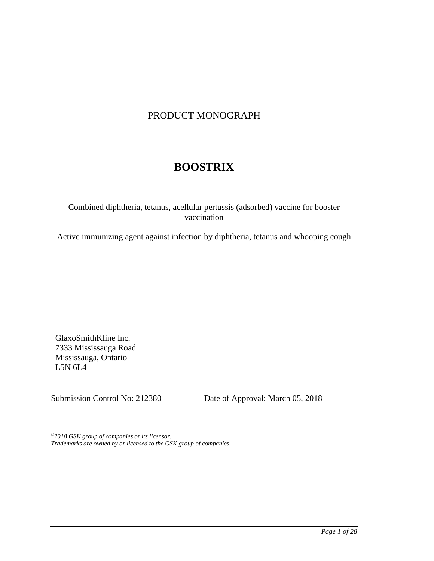# PRODUCT MONOGRAPH

# **BOOSTRIX**

## Combined diphtheria, tetanus, acellular pertussis (adsorbed) vaccine for booster vaccination

Active immunizing agent against infection by diphtheria, tetanus and whooping cough

GlaxoSmithKline Inc. 7333 Mississauga Road Mississauga, Ontario L5N 6L4

Submission Control No: 212380 Date of Approval: March 05, 2018

*©2018 GSK group of companies or its licensor. Trademarks are owned by or licensed to the GSK group of companies.*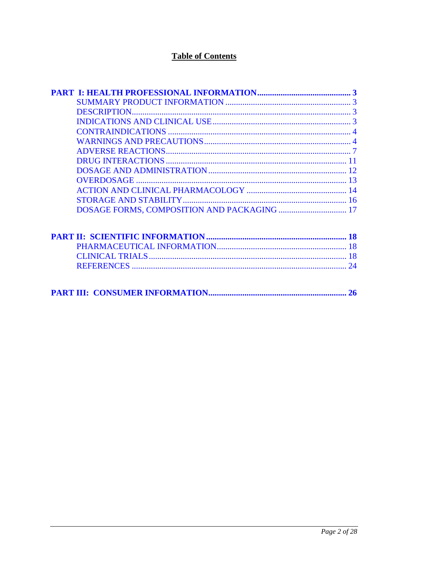# **Table of Contents**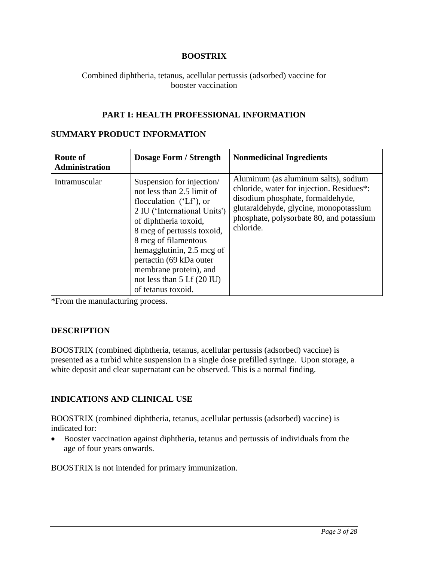## **BOOSTRIX**

<span id="page-2-0"></span>Combined diphtheria, tetanus, acellular pertussis (adsorbed) vaccine for booster vaccination

## **PART I: HEALTH PROFESSIONAL INFORMATION**

## **SUMMARY PRODUCT INFORMATION**

| <b>Route of</b><br><b>Administration</b> | <b>Dosage Form / Strength</b>                                                                                                                                                                                                                                                                                                                        | <b>Nonmedicinal Ingredients</b>                                                                                                                                                                                           |
|------------------------------------------|------------------------------------------------------------------------------------------------------------------------------------------------------------------------------------------------------------------------------------------------------------------------------------------------------------------------------------------------------|---------------------------------------------------------------------------------------------------------------------------------------------------------------------------------------------------------------------------|
| Intramuscular                            | Suspension for injection/<br>not less than 2.5 limit of<br>flocculation $(Lf)$ , or<br>2 IU ('International Units')<br>of diphtheria toxoid,<br>8 mcg of pertussis toxoid,<br>8 mcg of filamentous<br>hemagglutinin, 2.5 mcg of<br>pertactin (69 kDa outer<br>membrane protein), and<br>not less than $5$ Lf $(20 \text{ IU})$<br>of tetanus toxoid. | Aluminum (as aluminum salts), sodium<br>chloride, water for injection. Residues*:<br>disodium phosphate, formaldehyde,<br>glutaraldehyde, glycine, monopotassium<br>phosphate, polysorbate 80, and potassium<br>chloride. |

\*From the manufacturing process.

## **DESCRIPTION**

BOOSTRIX (combined diphtheria, tetanus, acellular pertussis (adsorbed) vaccine) is presented as a turbid white suspension in a single dose prefilled syringe. Upon storage, a white deposit and clear supernatant can be observed. This is a normal finding.

## **INDICATIONS AND CLINICAL USE**

BOOSTRIX (combined diphtheria, tetanus, acellular pertussis (adsorbed) vaccine) is indicated for:

• Booster vaccination against diphtheria, tetanus and pertussis of individuals from the age of four years onwards.

BOOSTRIX is not intended for primary immunization.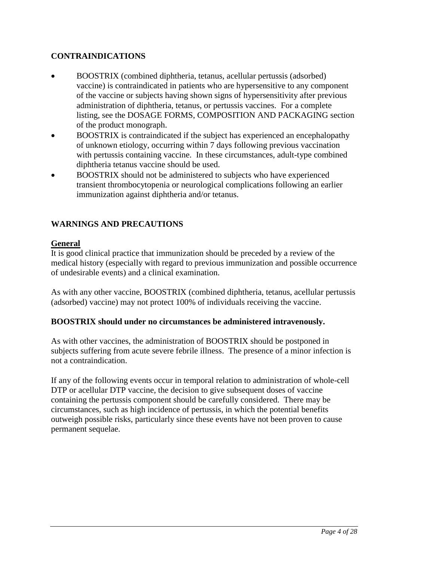# <span id="page-3-0"></span>**CONTRAINDICATIONS**

- BOOSTRIX (combined diphtheria, tetanus, acellular pertussis (adsorbed) vaccine) is contraindicated in patients who are hypersensitive to any component of the vaccine or subjects having shown signs of hypersensitivity after previous administration of diphtheria, tetanus, or pertussis vaccines. For a complete listing, see the DOSAGE FORMS, COMPOSITION AND PACKAGING section of the product monograph.
- BOOSTRIX is contraindicated if the subject has experienced an encephalopathy of unknown etiology, occurring within 7 days following previous vaccination with pertussis containing vaccine. In these circumstances, adult-type combined diphtheria tetanus vaccine should be used.
- BOOSTRIX should not be administered to subjects who have experienced transient thrombocytopenia or neurological complications following an earlier immunization against diphtheria and/or tetanus.

# **WARNINGS AND PRECAUTIONS**

## **General**

It is good clinical practice that immunization should be preceded by a review of the medical history (especially with regard to previous immunization and possible occurrence of undesirable events) and a clinical examination.

As with any other vaccine, BOOSTRIX (combined diphtheria, tetanus, acellular pertussis (adsorbed) vaccine) may not protect 100% of individuals receiving the vaccine.

## **BOOSTRIX should under no circumstances be administered intravenously.**

As with other vaccines, the administration of BOOSTRIX should be postponed in subjects suffering from acute severe febrile illness. The presence of a minor infection is not a contraindication.

If any of the following events occur in temporal relation to administration of whole-cell DTP or acellular DTP vaccine, the decision to give subsequent doses of vaccine containing the pertussis component should be carefully considered. There may be circumstances, such as high incidence of pertussis, in which the potential benefits outweigh possible risks, particularly since these events have not been proven to cause permanent sequelae.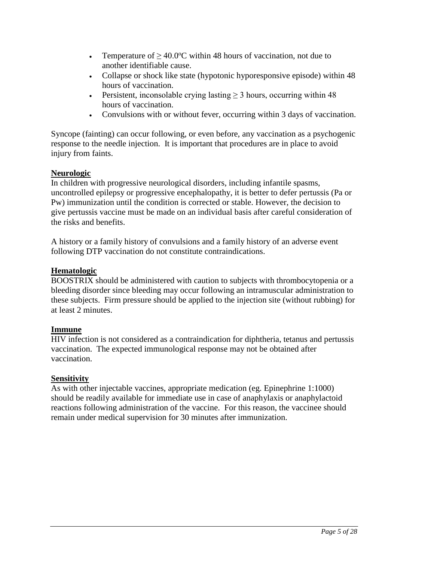- Temperature of  $\geq 40.0$ °C within 48 hours of vaccination, not due to another identifiable cause.
- Collapse or shock like state (hypotonic hyporesponsive episode) within 48 hours of vaccination.
- Persistent, inconsolable crying lasting  $\geq$  3 hours, occurring within 48 hours of vaccination.
- Convulsions with or without fever, occurring within 3 days of vaccination.

Syncope (fainting) can occur following, or even before, any vaccination as a psychogenic response to the needle injection. It is important that procedures are in place to avoid injury from faints.

# **Neurologic**

In children with progressive neurological disorders, including infantile spasms, uncontrolled epilepsy or progressive encephalopathy, it is better to defer pertussis (Pa or Pw) immunization until the condition is corrected or stable. However, the decision to give pertussis vaccine must be made on an individual basis after careful consideration of the risks and benefits.

A history or a family history of convulsions and a family history of an adverse event following DTP vaccination do not constitute contraindications.

# **Hematologic**

BOOSTRIX should be administered with caution to subjects with thrombocytopenia or a bleeding disorder since bleeding may occur following an intramuscular administration to these subjects. Firm pressure should be applied to the injection site (without rubbing) for at least 2 minutes.

# **Immune**

HIV infection is not considered as a contraindication for diphtheria, tetanus and pertussis vaccination. The expected immunological response may not be obtained after vaccination.

# **Sensitivity**

As with other injectable vaccines, appropriate medication (eg. Epinephrine 1:1000) should be readily available for immediate use in case of anaphylaxis or anaphylactoid reactions following administration of the vaccine. For this reason, the vaccinee should remain under medical supervision for 30 minutes after immunization.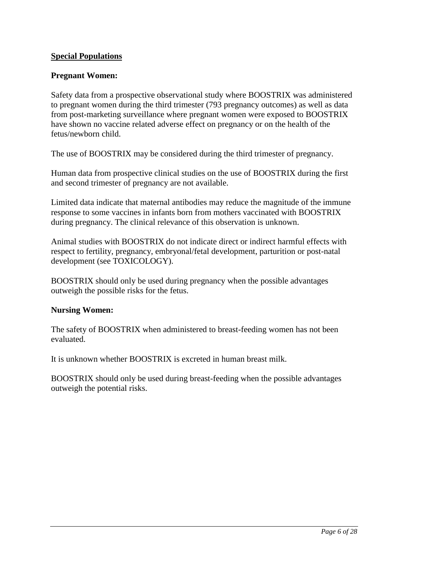## **Special Populations**

## **Pregnant Women:**

Safety data from a prospective observational study where BOOSTRIX was administered to pregnant women during the third trimester (793 pregnancy outcomes) as well as data from post-marketing surveillance where pregnant women were exposed to BOOSTRIX have shown no vaccine related adverse effect on pregnancy or on the health of the fetus/newborn child.

The use of BOOSTRIX may be considered during the third trimester of pregnancy.

Human data from prospective clinical studies on the use of BOOSTRIX during the first and second trimester of pregnancy are not available.

Limited data indicate that maternal antibodies may reduce the magnitude of the immune response to some vaccines in infants born from mothers vaccinated with BOOSTRIX during pregnancy. The clinical relevance of this observation is unknown.

Animal studies with BOOSTRIX do not indicate direct or indirect harmful effects with respect to fertility, pregnancy, embryonal/fetal development, parturition or post-natal development (see TOXICOLOGY).

BOOSTRIX should only be used during pregnancy when the possible advantages outweigh the possible risks for the fetus.

### **Nursing Women:**

The safety of BOOSTRIX when administered to breast-feeding women has not been evaluated.

It is unknown whether BOOSTRIX is excreted in human breast milk.

BOOSTRIX should only be used during breast-feeding when the possible advantages outweigh the potential risks.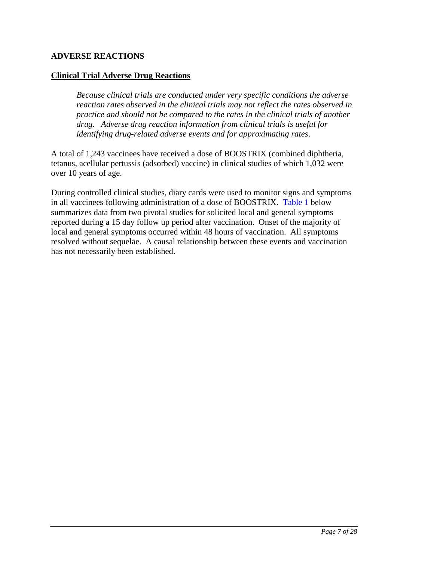## <span id="page-6-0"></span>**ADVERSE REACTIONS**

## **Clinical Trial Adverse Drug Reactions**

*Because clinical trials are conducted under very specific conditions the adverse reaction rates observed in the clinical trials may not reflect the rates observed in practice and should not be compared to the rates in the clinical trials of another drug. Adverse drug reaction information from clinical trials is useful for identifying drug-related adverse events and for approximating rates*.

A total of 1,243 vaccinees have received a dose of BOOSTRIX (combined diphtheria, tetanus, acellular pertussis (adsorbed) vaccine) in clinical studies of which 1,032 were over 10 years of age.

During controlled clinical studies, diary cards were used to monitor signs and symptoms in all vaccinees following administration of a dose of BOOSTRIX. [Table 1](#page-7-0) below summarizes data from two pivotal studies for solicited local and general symptoms reported during a 15 day follow up period after vaccination. Onset of the majority of local and general symptoms occurred within 48 hours of vaccination. All symptoms resolved without sequelae. A causal relationship between these events and vaccination has not necessarily been established.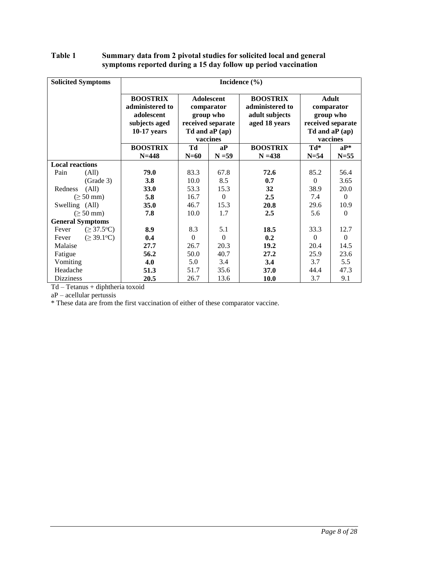### <span id="page-7-0"></span>Table 1 Summary data from 2 pivotal studies for solicited local and general symptoms reported during a 15 day follow up period vaccination

| <b>Solicited Symptoms</b>              | Incidence $(\% )$                                                                  |              |                                                                                                  |                                                                       |               |                                                                                             |
|----------------------------------------|------------------------------------------------------------------------------------|--------------|--------------------------------------------------------------------------------------------------|-----------------------------------------------------------------------|---------------|---------------------------------------------------------------------------------------------|
|                                        | <b>BOOSTRIX</b><br>administered to<br>adolescent<br>subjects aged<br>$10-17$ years |              | <b>Adolescent</b><br>comparator<br>group who<br>received separate<br>Td and $aP(ap)$<br>vaccines | <b>BOOSTRIX</b><br>administered to<br>adult subjects<br>aged 18 years |               | <b>Adult</b><br>comparator<br>group who<br>received separate<br>Td and $aP(ap)$<br>vaccines |
|                                        | <b>BOOSTRIX</b><br>$N = 448$                                                       | Td<br>$N=60$ | aP<br>$N = 59$                                                                                   | <b>BOOSTRIX</b><br>$N = 438$                                          | Td*<br>$N=54$ | $aP^*$<br>$N=55$                                                                            |
| <b>Local reactions</b>                 |                                                                                    |              |                                                                                                  |                                                                       |               |                                                                                             |
| Pain<br>(All)                          | 79.0                                                                               | 83.3         | 67.8                                                                                             | 72.6                                                                  | 85.2          | 56.4                                                                                        |
| (Grade 3)                              | 3.8                                                                                | 10.0         | 8.5                                                                                              | 0.7                                                                   | $\theta$      | 3.65                                                                                        |
| Redness<br>(All)                       | <b>33.0</b>                                                                        | 53.3         | 15.3                                                                                             | 32                                                                    | 38.9          | 20.0                                                                                        |
| $(\geq 50$ mm)                         | 5.8                                                                                | 16.7         | $\Omega$                                                                                         | 2.5                                                                   | 7.4           | $\Omega$                                                                                    |
| Swelling (All)                         | <b>35.0</b>                                                                        | 46.7         | 15.3                                                                                             | 20.8                                                                  | 29.6          | 10.9                                                                                        |
| $(\geq 50$ mm)                         | 7.8                                                                                | 10.0         | 1.7                                                                                              | 2.5                                                                   | 5.6           | $\Omega$                                                                                    |
| <b>General Symptoms</b>                |                                                                                    |              |                                                                                                  |                                                                       |               |                                                                                             |
| $(\geq 37.5$ °C)<br>Fever              | 8.9                                                                                | 8.3          | 5.1                                                                                              | 18.5                                                                  | 33.3          | 12.7                                                                                        |
| $( \geq 39.1$ <sup>o</sup> C)<br>Fever | 0.4                                                                                | $\Omega$     | $\Omega$                                                                                         | 0.2                                                                   | $\Omega$      | $\theta$                                                                                    |
| Malaise                                | 27.7                                                                               | 26.7         | 20.3                                                                                             | 19.2                                                                  | 20.4          | 14.5                                                                                        |
| Fatigue                                | 56.2                                                                               | 50.0         | 40.7                                                                                             | 27.2                                                                  | 25.9          | 23.6                                                                                        |
| Vomiting                               | 4.0                                                                                | 5.0          | 3.4                                                                                              | 3.4                                                                   | 3.7           | 5.5                                                                                         |
| Headache                               | 51.3                                                                               | 51.7         | 35.6                                                                                             | 37.0                                                                  | 44.4          | 47.3                                                                                        |
| <b>Dizziness</b>                       | 20.5                                                                               | 26.7         | 13.6                                                                                             | <b>10.0</b>                                                           | 3.7           | 9.1                                                                                         |

Td – Tetanus + diphtheria toxoid

aP – acellular pertussis

\* These data are from the first vaccination of either of these comparator vaccine.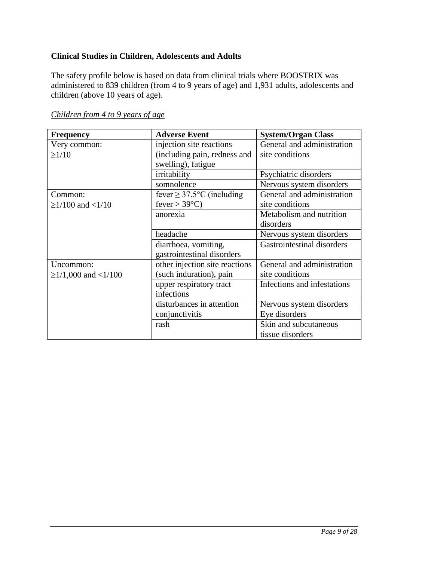# **Clinical Studies in Children, Adolescents and Adults**

The safety profile below is based on data from clinical trials where BOOSTRIX was administered to 839 children (from 4 to 9 years of age) and 1,931 adults, adolescents and children (above 10 years of age).

| <b>Frequency</b>          | <b>Adverse Event</b>           | <b>System/Organ Class</b>   |
|---------------------------|--------------------------------|-----------------------------|
| Very common:              | injection site reactions       | General and administration  |
| $\geq$ 1/10               | (including pain, redness and   | site conditions             |
|                           | swelling), fatigue             |                             |
|                           | irritability                   | Psychiatric disorders       |
|                           | somnolence                     | Nervous system disorders    |
| Common:                   | fever $\geq$ 37.5°C (including | General and administration  |
| $\geq$ 1/100 and <1/10    | fever $> 39^{\circ}$ C)        | site conditions             |
|                           | anorexia                       | Metabolism and nutrition    |
|                           |                                | disorders                   |
|                           | headache                       | Nervous system disorders    |
|                           | diarrhoea, vomiting,           | Gastrointestinal disorders  |
|                           | gastrointestinal disorders     |                             |
| Uncommon:                 | other injection site reactions | General and administration  |
| $\geq$ 1/1,000 and <1/100 | (such induration), pain        | site conditions             |
|                           | upper respiratory tract        | Infections and infestations |
|                           | infections                     |                             |
|                           | disturbances in attention      | Nervous system disorders    |
|                           | conjunctivitis                 | Eye disorders               |
|                           | rash                           | Skin and subcutaneous       |
|                           |                                | tissue disorders            |

## *Children from 4 to 9 years of age*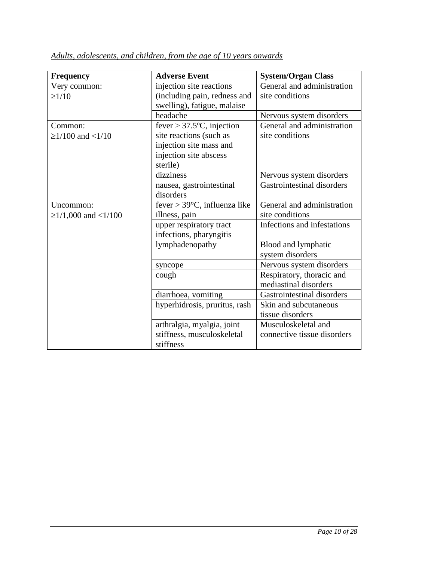| <b>Frequency</b>          | <b>Adverse Event</b>                   | <b>System/Organ Class</b>         |
|---------------------------|----------------------------------------|-----------------------------------|
| Very common:              | injection site reactions               | General and administration        |
| $\geq$ 1/10               | (including pain, redness and           | site conditions                   |
|                           | swelling), fatigue, malaise            |                                   |
|                           | headache                               | Nervous system disorders          |
| Common:                   | fever > $37.5$ °C, injection           | General and administration        |
| $\geq$ 1/100 and <1/10    | site reactions (such as                | site conditions                   |
|                           | injection site mass and                |                                   |
|                           | injection site abscess                 |                                   |
|                           | sterile)                               |                                   |
|                           | dizziness                              | Nervous system disorders          |
|                           | nausea, gastrointestinal               | <b>Gastrointestinal disorders</b> |
|                           | disorders                              |                                   |
| Uncommon:                 | fever > $39^{\circ}$ C, influenza like | General and administration        |
| $\geq$ 1/1,000 and <1/100 | illness, pain                          | site conditions                   |
|                           | upper respiratory tract                | Infections and infestations       |
|                           | infections, pharyngitis                |                                   |
|                           | lymphadenopathy                        | Blood and lymphatic               |
|                           |                                        | system disorders                  |
|                           | syncope                                | Nervous system disorders          |
|                           | cough                                  | Respiratory, thoracic and         |
|                           |                                        | mediastinal disorders             |
|                           | diarrhoea, vomiting                    | Gastrointestinal disorders        |
|                           | hyperhidrosis, pruritus, rash          | Skin and subcutaneous             |
|                           |                                        | tissue disorders                  |
|                           | arthralgia, myalgia, joint             | Musculoskeletal and               |
|                           | stiffness, musculoskeletal             | connective tissue disorders       |
|                           | stiffness                              |                                   |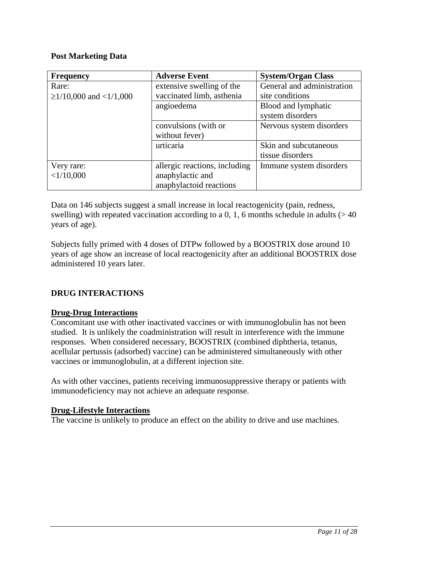## <span id="page-10-0"></span>**Post Marketing Data**

| <b>Frequency</b>             | <b>Adverse Event</b>          | <b>System/Organ Class</b>  |
|------------------------------|-------------------------------|----------------------------|
| Rare:                        | extensive swelling of the     | General and administration |
| $\geq$ 1/10,000 and <1/1,000 | vaccinated limb, asthenia     | site conditions            |
|                              | angioedema                    | Blood and lymphatic        |
|                              |                               | system disorders           |
|                              | convulsions (with or          | Nervous system disorders   |
|                              | without fever)                |                            |
|                              | urticaria                     | Skin and subcutaneous      |
|                              |                               | tissue disorders           |
| Very rare:                   | allergic reactions, including | Immune system disorders    |
| <1/10,000                    | anaphylactic and              |                            |
|                              | anaphylactoid reactions       |                            |

Data on 146 subjects suggest a small increase in local reactogenicity (pain, redness, swelling) with repeated vaccination according to a 0, 1, 6 months schedule in adults  $(>40$ years of age).

Subjects fully primed with 4 doses of DTPw followed by a BOOSTRIX dose around 10 years of age show an increase of local reactogenicity after an additional BOOSTRIX dose administered 10 years later.

# **DRUG INTERACTIONS**

## **Drug-Drug Interactions**

Concomitant use with other inactivated vaccines or with immunoglobulin has not been studied. It is unlikely the coadministration will result in interference with the immune responses. When considered necessary, BOOSTRIX (combined diphtheria, tetanus, acellular pertussis (adsorbed) vaccine) can be administered simultaneously with other vaccines or immunoglobulin, at a different injection site.

As with other vaccines, patients receiving immunosuppressive therapy or patients with immunodeficiency may not achieve an adequate response.

### **Drug-Lifestyle Interactions**

The vaccine is unlikely to produce an effect on the ability to drive and use machines.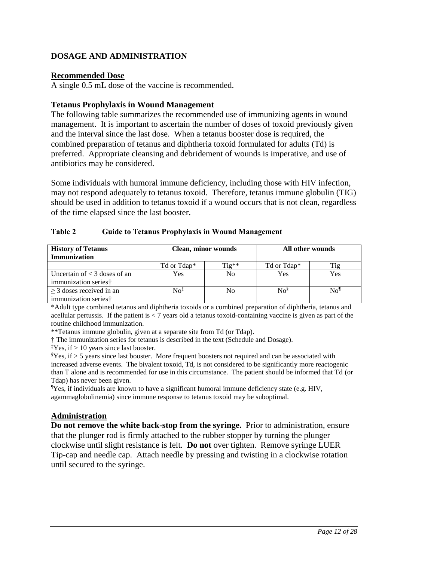## <span id="page-11-0"></span>**DOSAGE AND ADMINISTRATION**

## **Recommended Dose**

A single 0.5 mL dose of the vaccine is recommended.

## **Tetanus Prophylaxis in Wound Management**

The following table summarizes the recommended use of immunizing agents in wound management. It is important to ascertain the number of doses of toxoid previously given and the interval since the last dose. When a tetanus booster dose is required, the combined preparation of tetanus and diphtheria toxoid formulated for adults (Td) is preferred. Appropriate cleansing and debridement of wounds is imperative, and use of antibiotics may be considered.

Some individuals with humoral immune deficiency, including those with HIV infection, may not respond adequately to tetanus toxoid. Therefore, tetanus immune globulin (TIG) should be used in addition to tetanus toxoid if a wound occurs that is not clean, regardless of the time elapsed since the last booster.

| Table 2 |  |  | <b>Guide to Tetanus Prophylaxis in Wound Management</b> |
|---------|--|--|---------------------------------------------------------|
|         |  |  |                                                         |

| <b>History of Tetanus</b><br><b>Immunization</b>                   | <b>Clean, minor wounds</b> |         | All other wounds   |                |
|--------------------------------------------------------------------|----------------------------|---------|--------------------|----------------|
|                                                                    | Td or Tdap*                | $Tig**$ | Td or Tdap*        |                |
| Uncertain of $<$ 3 doses of an<br>immunization series <sup>†</sup> | Yes                        | No      | Yes                | Yes            |
| $>$ 3 doses received in an<br>immunization series <sup>†</sup>     | $\mathrm{No}^{\ddagger}$   | No      | $\mathrm{No}^{\S}$ | N <sub>0</sub> |

\*Adult type combined tetanus and diphtheria toxoids or a combined preparation of diphtheria, tetanus and acellular pertussis. If the patient is < 7 years old a tetanus toxoid-containing vaccine is given as part of the routine childhood immunization.

\*\*Tetanus immune globulin, given at a separate site from Td (or Tdap).

† The immunization series for tetanus is described in the text (Schedule and Dosage).

<sup>‡</sup>Yes, if  $> 10$  years since last booster.

 $\S$ Yes, if  $>$  5 years since last booster. More frequent boosters not required and can be associated with increased adverse events. The bivalent toxoid, Td, is not considered to be significantly more reactogenic than T alone and is recommended for use in this circumstance. The patient should be informed that Td (or Tdap) has never been given.

¶Yes, if individuals are known to have a significant humoral immune deficiency state (e.g. HIV, agammaglobulinemia) since immune response to tetanus toxoid may be suboptimal.

## **Administration**

**Do not remove the white back-stop from the syringe.** Prior to administration, ensure that the plunger rod is firmly attached to the rubber stopper by turning the plunger clockwise until slight resistance is felt. **Do not** over tighten. Remove syringe LUER Tip-cap and needle cap. Attach needle by pressing and twisting in a clockwise rotation until secured to the syringe.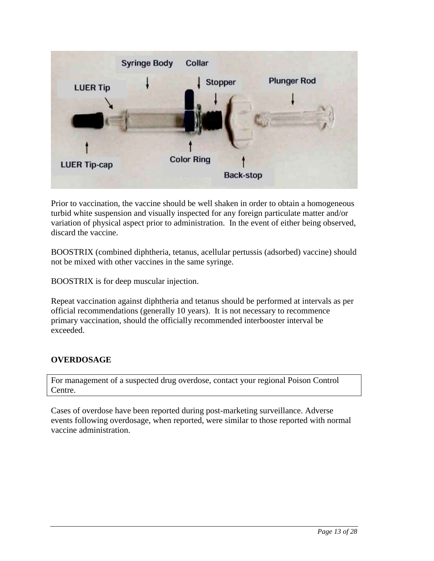<span id="page-12-0"></span>

Prior to vaccination, the vaccine should be well shaken in order to obtain a homogeneous turbid white suspension and visually inspected for any foreign particulate matter and/or variation of physical aspect prior to administration. In the event of either being observed, discard the vaccine.

BOOSTRIX (combined diphtheria, tetanus, acellular pertussis (adsorbed) vaccine) should not be mixed with other vaccines in the same syringe.

BOOSTRIX is for deep muscular injection.

Repeat vaccination against diphtheria and tetanus should be performed at intervals as per official recommendations (generally 10 years). It is not necessary to recommence primary vaccination, should the officially recommended interbooster interval be exceeded.

# **OVERDOSAGE**

For management of a suspected drug overdose, contact your regional Poison Control Centre.

Cases of overdose have been reported during post-marketing surveillance. Adverse events following overdosage, when reported, were similar to those reported with normal vaccine administration.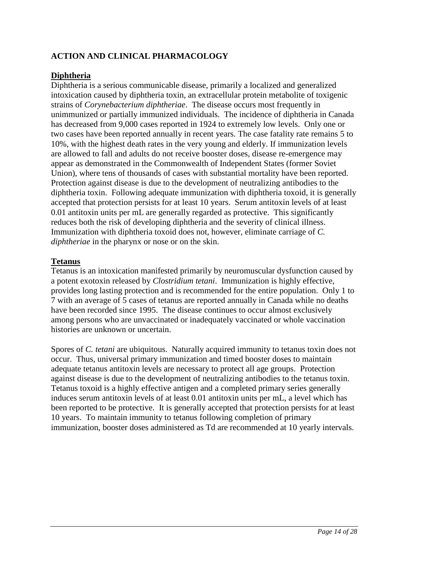# <span id="page-13-0"></span>**ACTION AND CLINICAL PHARMACOLOGY**

## **Diphtheria**

Diphtheria is a serious communicable disease, primarily a localized and generalized intoxication caused by diphtheria toxin, an extracellular protein metabolite of toxigenic strains of *Corynebacterium diphtheriae*. The disease occurs most frequently in unimmunized or partially immunized individuals. The incidence of diphtheria in Canada has decreased from 9,000 cases reported in 1924 to extremely low levels. Only one or two cases have been reported annually in recent years. The case fatality rate remains 5 to 10%, with the highest death rates in the very young and elderly. If immunization levels are allowed to fall and adults do not receive booster doses, disease re-emergence may appear as demonstrated in the Commonwealth of Independent States (former Soviet Union), where tens of thousands of cases with substantial mortality have been reported. Protection against disease is due to the development of neutralizing antibodies to the diphtheria toxin. Following adequate immunization with diphtheria toxoid, it is generally accepted that protection persists for at least 10 years. Serum antitoxin levels of at least 0.01 antitoxin units per mL are generally regarded as protective. This significantly reduces both the risk of developing diphtheria and the severity of clinical illness. Immunization with diphtheria toxoid does not, however, eliminate carriage of *C. diphtheriae* in the pharynx or nose or on the skin.

## **Tetanus**

Tetanus is an intoxication manifested primarily by neuromuscular dysfunction caused by a potent exotoxin released by *Clostridium tetani*. Immunization is highly effective, provides long lasting protection and is recommended for the entire population. Only 1 to 7 with an average of 5 cases of tetanus are reported annually in Canada while no deaths have been recorded since 1995. The disease continues to occur almost exclusively among persons who are unvaccinated or inadequately vaccinated or whole vaccination histories are unknown or uncertain.

Spores of *C. tetani* are ubiquitous. Naturally acquired immunity to tetanus toxin does not occur. Thus, universal primary immunization and timed booster doses to maintain adequate tetanus antitoxin levels are necessary to protect all age groups. Protection against disease is due to the development of neutralizing antibodies to the tetanus toxin. Tetanus toxoid is a highly effective antigen and a completed primary series generally induces serum antitoxin levels of at least 0.01 antitoxin units per mL, a level which has been reported to be protective. It is generally accepted that protection persists for at least 10 years. To maintain immunity to tetanus following completion of primary immunization, booster doses administered as Td are recommended at 10 yearly intervals.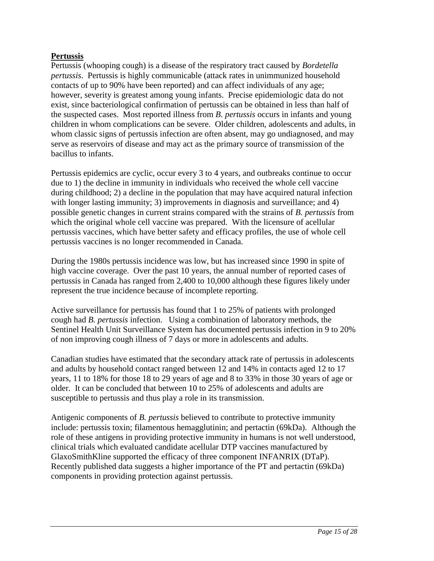## **Pertussis**

Pertussis (whooping cough) is a disease of the respiratory tract caused by *Bordetella pertussis*. Pertussis is highly communicable (attack rates in unimmunized household contacts of up to 90% have been reported) and can affect individuals of any age; however, severity is greatest among young infants. Precise epidemiologic data do not exist, since bacteriological confirmation of pertussis can be obtained in less than half of the suspected cases. Most reported illness from *B. pertussis* occurs in infants and young children in whom complications can be severe. Older children, adolescents and adults, in whom classic signs of pertussis infection are often absent, may go undiagnosed, and may serve as reservoirs of disease and may act as the primary source of transmission of the bacillus to infants.

Pertussis epidemics are cyclic, occur every 3 to 4 years, and outbreaks continue to occur due to 1) the decline in immunity in individuals who received the whole cell vaccine during childhood; 2) a decline in the population that may have acquired natural infection with longer lasting immunity; 3) improvements in diagnosis and surveillance; and 4) possible genetic changes in current strains compared with the strains of *B. pertussis* from which the original whole cell vaccine was prepared. With the licensure of acellular pertussis vaccines, which have better safety and efficacy profiles, the use of whole cell pertussis vaccines is no longer recommended in Canada.

During the 1980s pertussis incidence was low, but has increased since 1990 in spite of high vaccine coverage. Over the past 10 years, the annual number of reported cases of pertussis in Canada has ranged from 2,400 to 10,000 although these figures likely under represent the true incidence because of incomplete reporting.

Active surveillance for pertussis has found that 1 to 25% of patients with prolonged cough had *B. pertussis* infection. Using a combination of laboratory methods, the Sentinel Health Unit Surveillance System has documented pertussis infection in 9 to 20% of non improving cough illness of 7 days or more in adolescents and adults.

Canadian studies have estimated that the secondary attack rate of pertussis in adolescents and adults by household contact ranged between 12 and 14% in contacts aged 12 to 17 years, 11 to 18% for those 18 to 29 years of age and 8 to 33% in those 30 years of age or older. It can be concluded that between 10 to 25% of adolescents and adults are susceptible to pertussis and thus play a role in its transmission.

Antigenic components of *B. pertussis* believed to contribute to protective immunity include: pertussis toxin; filamentous hemagglutinin; and pertactin (69kDa). Although the role of these antigens in providing protective immunity in humans is not well understood, clinical trials which evaluated candidate acellular DTP vaccines manufactured by GlaxoSmithKline supported the efficacy of three component INFANRIX (DTaP). Recently published data suggests a higher importance of the PT and pertactin (69kDa) components in providing protection against pertussis.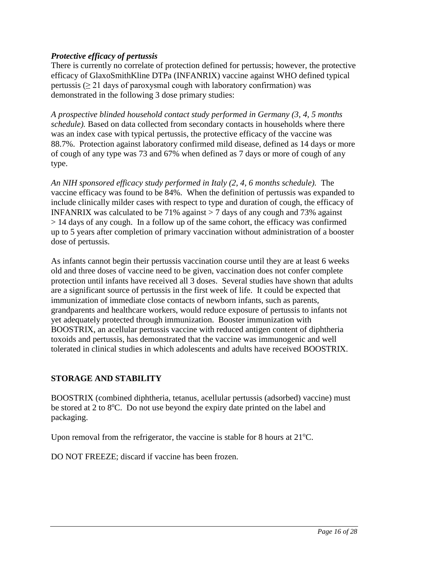## <span id="page-15-0"></span>*Protective efficacy of pertussis*

There is currently no correlate of protection defined for pertussis; however, the protective efficacy of GlaxoSmithKline DTPa (INFANRIX) vaccine against WHO defined typical pertussis ( $\geq$  21 days of paroxysmal cough with laboratory confirmation) was demonstrated in the following 3 dose primary studies:

*A prospective blinded household contact study performed in Germany (3, 4, 5 months schedule).* Based on data collected from secondary contacts in households where there was an index case with typical pertussis, the protective efficacy of the vaccine was 88.7%. Protection against laboratory confirmed mild disease, defined as 14 days or more of cough of any type was 73 and 67% when defined as 7 days or more of cough of any type.

*An NIH sponsored efficacy study performed in Italy (2, 4, 6 months schedule).* The vaccine efficacy was found to be 84%. When the definition of pertussis was expanded to include clinically milder cases with respect to type and duration of cough, the efficacy of INFANRIX was calculated to be 71% against  $>$  7 days of any cough and 73% against > 14 days of any cough. In a follow up of the same cohort, the efficacy was confirmed up to 5 years after completion of primary vaccination without administration of a booster dose of pertussis.

As infants cannot begin their pertussis vaccination course until they are at least 6 weeks old and three doses of vaccine need to be given, vaccination does not confer complete protection until infants have received all 3 doses. Several studies have shown that adults are a significant source of pertussis in the first week of life. It could be expected that immunization of immediate close contacts of newborn infants, such as parents, grandparents and healthcare workers, would reduce exposure of pertussis to infants not yet adequately protected through immunization. Booster immunization with BOOSTRIX, an acellular pertussis vaccine with reduced antigen content of diphtheria toxoids and pertussis, has demonstrated that the vaccine was immunogenic and well tolerated in clinical studies in which adolescents and adults have received BOOSTRIX.

# **STORAGE AND STABILITY**

BOOSTRIX (combined diphtheria, tetanus, acellular pertussis (adsorbed) vaccine) must be stored at 2 to 8°C. Do not use beyond the expiry date printed on the label and packaging.

Upon removal from the refrigerator, the vaccine is stable for 8 hours at  $21^{\circ}$ C.

DO NOT FREEZE; discard if vaccine has been frozen.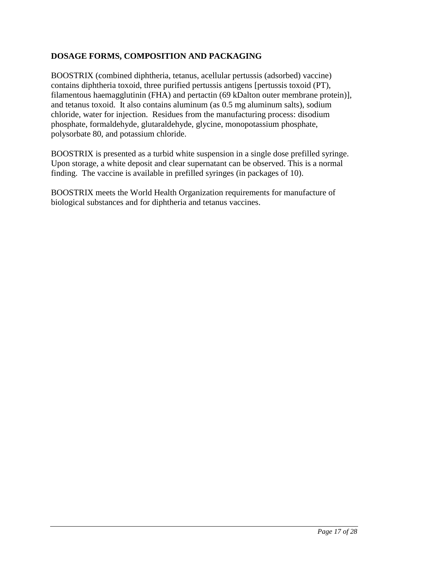# <span id="page-16-0"></span>**DOSAGE FORMS, COMPOSITION AND PACKAGING**

BOOSTRIX (combined diphtheria, tetanus, acellular pertussis (adsorbed) vaccine) contains diphtheria toxoid, three purified pertussis antigens [pertussis toxoid (PT), filamentous haemagglutinin (FHA) and pertactin (69 kDalton outer membrane protein)], and tetanus toxoid. It also contains aluminum (as 0.5 mg aluminum salts), sodium chloride, water for injection. Residues from the manufacturing process: disodium phosphate, formaldehyde, glutaraldehyde, glycine, monopotassium phosphate, polysorbate 80, and potassium chloride.

BOOSTRIX is presented as a turbid white suspension in a single dose prefilled syringe. Upon storage, a white deposit and clear supernatant can be observed. This is a normal finding. The vaccine is available in prefilled syringes (in packages of 10).

BOOSTRIX meets the World Health Organization requirements for manufacture of biological substances and for diphtheria and tetanus vaccines.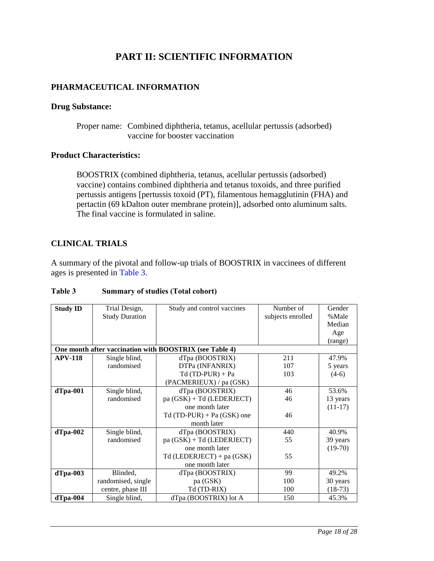# **PART II: SCIENTIFIC INFORMATION**

## <span id="page-17-0"></span>**PHARMACEUTICAL INFORMATION**

### **Drug Substance:**

Proper name: Combined diphtheria, tetanus, acellular pertussis (adsorbed) vaccine for booster vaccination

## **Product Characteristics:**

BOOSTRIX (combined diphtheria, tetanus, acellular pertussis (adsorbed) vaccine) contains combined diphtheria and tetanus toxoids, and three purified pertussis antigens [pertussis toxoid (PT), filamentous hemagglutinin (FHA) and pertactin (69 kDalton outer membrane protein)], adsorbed onto aluminum salts. The final vaccine is formulated in saline.

## **CLINICAL TRIALS**

A summary of the pivotal and follow-up trials of BOOSTRIX in vaccinees of different ages is presented in [Table 3.](#page-17-1)

| <b>Study ID</b> | Trial Design,         | Study and control vaccines                              | Number of         | Gender    |
|-----------------|-----------------------|---------------------------------------------------------|-------------------|-----------|
|                 | <b>Study Duration</b> |                                                         | subjects enrolled | %Male     |
|                 |                       |                                                         |                   | Median    |
|                 |                       |                                                         |                   | Age       |
|                 |                       |                                                         |                   | (range)   |
|                 |                       | One month after vaccination with BOOSTRIX (see Table 4) |                   |           |
| <b>APV-118</b>  | Single blind,         | dTpa (BOOSTRIX)                                         | 211               | 47.9%     |
|                 | randomised            | DTPa (INFANRIX)                                         | 107               | 5 years   |
|                 |                       | $Td(TD-PUR) + Pa$                                       | 103               | $(4-6)$   |
|                 |                       | (PACMERIEUX) / pa (GSK)                                 |                   |           |
| $d$ Tpa-001     | Single blind,         | dTpa (BOOSTRIX)                                         | 46                | 53.6%     |
|                 | randomised            | pa (GSK) + Td (LEDERJECT)                               | 46                | 13 years  |
|                 |                       | one month later                                         |                   | $(11-17)$ |
|                 |                       | $Td(TD-PUR) + Pa(GSK)$ one                              | 46                |           |
|                 |                       | month later                                             |                   |           |
| $d$ Tpa-002     | Single blind,         | dTpa (BOOSTRIX)                                         | 440               | 40.9%     |
|                 | randomised            | $pa(GSK) + Td(LEDERIECT)$                               | 55                | 39 years  |
|                 |                       | one month later                                         |                   | $(19-70)$ |
|                 |                       | Td (LEDERJECT) + pa (GSK)                               | 55                |           |
|                 |                       | one month later                                         |                   |           |
| $d$ Tpa-003     | Blinded,              | dTpa (BOOSTRIX)                                         | 99                | 49.2%     |
|                 | randomised, single    | pa (GSK)                                                | 100               | 30 years  |
|                 | centre, phase III     | Td (TD-RIX)                                             | 100               | $(18-73)$ |
| $d$ Tpa-004     | Single blind,         | dTpa (BOOSTRIX) lot A                                   | 150               | 45.3%     |

## <span id="page-17-1"></span>Table 3 Summary of studies (Total cohort)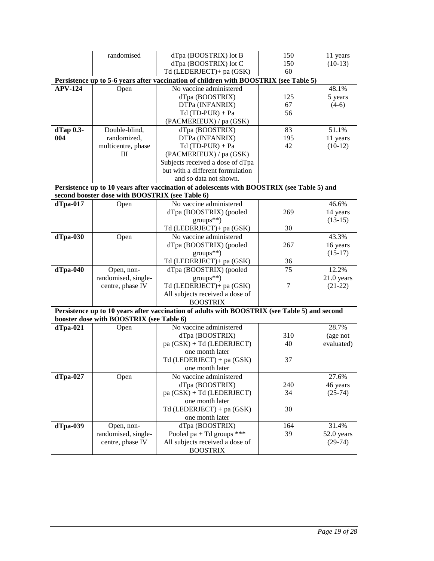|                | randomised                                      | dTpa (BOOSTRIX) lot B                                                                         | 150      | 11 years     |
|----------------|-------------------------------------------------|-----------------------------------------------------------------------------------------------|----------|--------------|
|                |                                                 | dTpa (BOOSTRIX) lot C                                                                         | 150      | $(10-13)$    |
|                |                                                 | Td (LEDERJECT)+ pa (GSK)                                                                      | 60       |              |
|                |                                                 | Persistence up to 5-6 years after vaccination of children with BOOSTRIX (see Table 5)         |          |              |
| <b>APV-124</b> | Open                                            | No vaccine administered                                                                       |          | 48.1%        |
|                |                                                 | dTpa (BOOSTRIX)                                                                               | 125      | 5 years      |
|                |                                                 | DTPa (INFANRIX)                                                                               | 67       | $(4-6)$      |
|                |                                                 | $Td(TD-PUR) + Pa$                                                                             | 56       |              |
|                |                                                 | (PACMERIEUX) / pa (GSK)                                                                       |          |              |
| dTap 0.3-      | Double-blind,                                   | dTpa (BOOSTRIX)                                                                               | 83       | 51.1%        |
| 004            | randomized,                                     | DTPa (INFANRIX)                                                                               | 195      | 11 years     |
|                | multicentre, phase                              | $Td(TD-PUR) + Pa$                                                                             | 42       | $(10-12)$    |
|                | Ш                                               | (PACMERIEUX) / pa (GSK)                                                                       |          |              |
|                |                                                 | Subjects received a dose of dTpa                                                              |          |              |
|                |                                                 | but with a different formulation                                                              |          |              |
|                |                                                 | and so data not shown.                                                                        |          |              |
|                |                                                 | Persistence up to 10 years after vaccination of adolescents with BOOSTRIX (see Table 5) and   |          |              |
|                | second booster dose with BOOSTRIX (see Table 6) |                                                                                               |          |              |
| $d$ Tpa-017    | Open                                            | No vaccine administered                                                                       |          | 46.6%        |
|                |                                                 | dTpa (BOOSTRIX) (pooled                                                                       | 269      | 14 years     |
|                |                                                 | $groups**)$                                                                                   |          | $(13-15)$    |
|                |                                                 | Td (LEDERJECT)+ pa (GSK)                                                                      | 30       |              |
| $d$ Tpa-030    |                                                 | No vaccine administered                                                                       |          | 43.3%        |
|                | Open                                            | dTpa (BOOSTRIX) (pooled                                                                       | 267      | 16 years     |
|                |                                                 | $groups**)$                                                                                   |          | $(15-17)$    |
|                |                                                 |                                                                                               |          |              |
|                |                                                 | Td (LEDERJECT)+ pa (GSK)                                                                      | 36<br>75 | 12.2%        |
| $d$ Tpa-040    | Open, non-                                      | dTpa (BOOSTRIX) (pooled                                                                       |          |              |
|                | randomised, single-                             | groups**)                                                                                     |          | $21.0$ years |
|                | centre, phase IV                                | Td (LEDERJECT)+ pa (GSK)                                                                      | 7        | $(21-22)$    |
|                |                                                 | All subjects received a dose of                                                               |          |              |
|                |                                                 | <b>BOOSTRIX</b>                                                                               |          |              |
|                |                                                 | Persistence up to 10 years after vaccination of adults with BOOSTRIX (see Table 5) and second |          |              |
|                | booster dose with BOOSTRIX (see Table 6)        |                                                                                               |          |              |
| $d$ Tpa-021    | Open                                            | No vaccine administered                                                                       |          | 28.7%        |
|                |                                                 | dTpa (BOOSTRIX)                                                                               | 310      | (age not     |
|                |                                                 | pa (GSK) + Td (LEDERJECT)                                                                     | 40       | evaluated)   |
|                |                                                 | one month later                                                                               |          |              |
|                |                                                 | Td (LEDERJECT) + pa (GSK)                                                                     | 37       |              |
|                |                                                 | one month later                                                                               |          |              |
| $d$ Tpa-027    | Open                                            | No vaccine administered                                                                       |          | 27.6%        |
|                |                                                 | dTpa (BOOSTRIX)                                                                               | 240      | 46 years     |
|                |                                                 | pa (GSK) + Td (LEDERJECT)                                                                     | 34       | $(25-74)$    |
|                |                                                 | one month later                                                                               |          |              |
|                |                                                 | $Td$ (LEDERJECT) + pa (GSK)                                                                   | 30       |              |
|                |                                                 | one month later                                                                               |          |              |
| $d$ Tpa-039    | Open, non-                                      | dTpa (BOOSTRIX)                                                                               | 164      | 31.4%        |
|                | randomised, single-                             | Pooled pa + Td groups $***$                                                                   | 39       | 52.0 years   |
|                | centre, phase IV                                | All subjects received a dose of                                                               |          | $(29-74)$    |
|                |                                                 | <b>BOOSTRIX</b>                                                                               |          |              |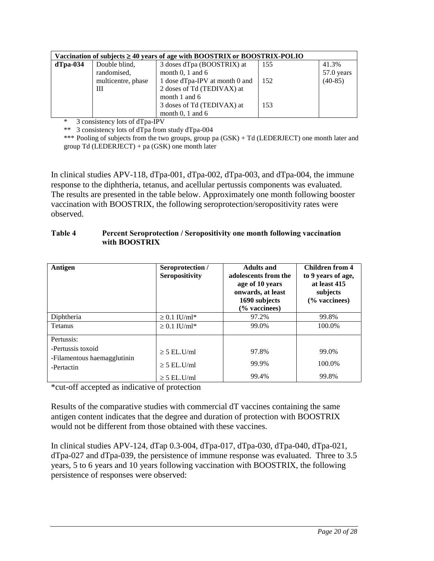|             |                    | Vaccination of subjects $\geq 40$ years of age with BOOSTRIX or BOOSTRIX-POLIO |     |            |
|-------------|--------------------|--------------------------------------------------------------------------------|-----|------------|
| $d$ Tpa-034 | Double blind,      | 3 doses dTpa (BOOSTRIX) at                                                     | 155 | 41.3%      |
|             | randomised,        | month $0, 1$ and $6$                                                           |     | 57.0 years |
|             | multicentre, phase | 1 dose dTpa-IPV at month 0 and                                                 | 152 | $(40-85)$  |
|             | Ш                  | 2 doses of Td (TEDIVAX) at                                                     |     |            |
|             |                    | month 1 and 6                                                                  |     |            |
|             |                    | 3 doses of Td (TEDIVAX) at                                                     | 153 |            |
|             |                    | month $0, 1$ and $6$                                                           |     |            |

\* 3 consistency lots of dTpa-IPV

\*\* 3 consistency lots of dTpa from study dTpa-004

\*\*\* Pooling of subjects from the two groups, group pa (GSK) + Td (LEDERJECT) one month later and group Td (LEDERJECT) + pa (GSK) one month later

In clinical studies APV-118, dTpa-001, dTpa-002, dTpa-003, and dTpa-004, the immune response to the diphtheria, tetanus, and acellular pertussis components was evaluated. The results are presented in the table below. Approximately one month following booster vaccination with BOOSTRIX, the following seroprotection/seropositivity rates were observed.

| Table 4 | Percent Seroprotection / Seropositivity one month following vaccination |
|---------|-------------------------------------------------------------------------|
|         | with BOOSTRIX                                                           |

| Antigen                                          | Seroprotection /<br>Seropositivity | <b>Adults and</b><br>adolescents from the<br>age of 10 years<br>onwards, at least<br>1690 subjects<br>(% vaccinees) | <b>Children from 4</b><br>to 9 years of age,<br>at least 415<br>subjects<br>$\frac{6}{6}$ vaccinees) |
|--------------------------------------------------|------------------------------------|---------------------------------------------------------------------------------------------------------------------|------------------------------------------------------------------------------------------------------|
| Diphtheria                                       | $\geq 0.1$ IU/ml*                  | 97.2%                                                                                                               | 99.8%                                                                                                |
| <b>Tetanus</b>                                   | $\geq$ 0.1 IU/ml <sup>*</sup>      | 99.0%                                                                                                               | 100.0%                                                                                               |
| Pertussis:                                       |                                    |                                                                                                                     |                                                                                                      |
| -Pertussis toxoid<br>-Filamentous haemagglutinin | $\geq$ 5 EL.U/ml                   | 97.8%                                                                                                               | 99.0%                                                                                                |
| -Pertactin                                       | $\geq$ 5 EL.U/ml                   | 99.9%                                                                                                               | 100.0%                                                                                               |
|                                                  | $\geq$ 5 EL.U/ml                   | 99.4%                                                                                                               | 99.8%                                                                                                |

\*cut-off accepted as indicative of protection

Results of the comparative studies with commercial dT vaccines containing the same antigen content indicates that the degree and duration of protection with BOOSTRIX would not be different from those obtained with these vaccines.

In clinical studies APV-124, dTap 0.3-004, dTpa-017, dTpa-030, dTpa-040, dTpa-021, dTpa-027 and dTpa-039, the persistence of immune response was evaluated. Three to 3.5 years, 5 to 6 years and 10 years following vaccination with BOOSTRIX, the following persistence of responses were observed: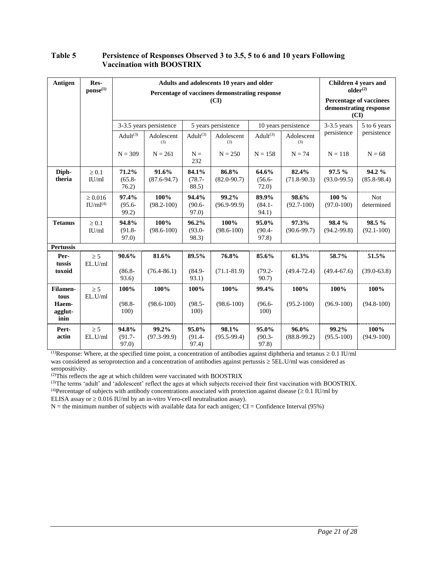### Table 5 Persistence of Responses Observed 3 to 3.5, 5 to 6 and 10 years Following Vaccination with BOOSTRIX

| Antigen                  | Res-<br>$\mathbf{ponse}^{(1)}$       | Adults and adolescents 10 years and older<br>Percentage of vaccinees demonstrating response<br>(CI) |                                                |                             |                          |                             |                          | <b>Children 4 years and</b><br>older <sup>(2)</sup><br>Percentage of vaccinees<br>demonstrating response |                          |
|--------------------------|--------------------------------------|-----------------------------------------------------------------------------------------------------|------------------------------------------------|-----------------------------|--------------------------|-----------------------------|--------------------------|----------------------------------------------------------------------------------------------------------|--------------------------|
|                          |                                      |                                                                                                     |                                                |                             |                          |                             |                          |                                                                                                          | (CI)                     |
|                          |                                      |                                                                                                     | 3-3.5 years persistence<br>5 years persistence |                             | 10 years persistence     |                             | $3-3.5$ years            | 5 to 6 years                                                                                             |                          |
|                          |                                      | Adult $(3)$                                                                                         | Adolescent<br>(3)                              | Adul $t^{(3)}$              | Adolescent<br>(3)        | Adul $t^{(3)}$              | Adolescent<br>(3)        | persistence                                                                                              | persistence              |
|                          |                                      | $N = 309$                                                                                           | $N = 261$                                      | $N =$<br>232                | $N = 250$                | $N = 158$                   | $N = 74$                 | $N = 118$                                                                                                | $N = 68$                 |
| Diph-<br>theria          | $\geq 0.1$<br>IU/ml                  | 71.2%<br>$(65.8 -$<br>76.2)                                                                         | 91.6%<br>$(87.6 - 94.7)$                       | 84.1%<br>$(78.7 -$<br>88.5) | 86.8%<br>$(82.0 - 90.7)$ | 64.6%<br>$(56.6 -$<br>72.0) | 82.4%<br>$(71.8-90.3)$   | 97.5%<br>$(93.0 - 99.5)$                                                                                 | 94.2%<br>$(85.8 - 98.4)$ |
|                          | $\geq 0.016$<br>IU/ml <sup>(4)</sup> | 97.4%<br>$(95.6 -$<br>99.2)                                                                         | 100%<br>$(98.2 - 100)$                         | 94.4%<br>$(90.6 -$<br>97.0  | 99.2%<br>$(96.9 - 99.9)$ | 89.9%<br>$(84.1 -$<br>94.1) | 98.6%<br>$(92.7-100)$    | 100 %<br>$(97.0 - 100)$                                                                                  | <b>Not</b><br>determined |
| <b>Tetanus</b>           | $\geq 0.1$<br>IU/ml                  | 94.8%<br>$(91.8 -$<br>97.0                                                                          | 100%<br>$(98.6 - 100)$                         | 96.2%<br>$(93.0 -$<br>98.3) | 100%<br>$(98.6 - 100)$   | 95.0%<br>$(90.4 -$<br>97.8) | 97.3%<br>$(90.6 - 99.7)$ | 98.4 %<br>$(94.2 - 99.8)$                                                                                | 98.5%<br>$(92.1 - 100)$  |
| <b>Pertussis</b>         |                                      |                                                                                                     |                                                |                             |                          |                             |                          |                                                                                                          |                          |
| Per-<br>tussis           | $\geq$ 5<br>EL.U/ml                  | 90.6%                                                                                               | 81.6%                                          | 89.5%                       | 76.8%                    | 85.6%                       | 61.3%                    | 58.7%                                                                                                    | 51.5%                    |
| toxoid                   |                                      | $(86.8 -$<br>93.6)                                                                                  | $(76.4 - 86.1)$                                | $(84.9 -$<br>93.1)          | $(71.1 - 81.9)$          | $(79.2 -$<br>90.7)          | $(49.4 - 72.4)$          | $(49.4 - 67.6)$                                                                                          | $(39.0 - 63.8)$          |
| Filamen-<br>tous         | $\geq 5$<br>EL.U/ml                  | 100%                                                                                                | 100%                                           | 100%                        | 100%                     | 99.4%                       | 100%                     | 100%                                                                                                     | 100%                     |
| Haem-<br>agglut-<br>inin |                                      | $(98.8 -$<br>100)                                                                                   | $(98.6 - 100)$                                 | $(98.5 -$<br>100)           | $(98.6 - 100)$           | $(96.6 -$<br>100)           | $(95.2 - 100)$           | $(96.9 - 100)$                                                                                           | $(94.8 - 100)$           |
| Pert-<br>actin           | $\geq 5$<br>EL.U/ml                  | 94.8%<br>$(91.7 -$<br>97.0                                                                          | 99.2%<br>$(97.3 - 99.9)$                       | 95.0%<br>$(91.4 -$<br>97.4) | 98.1%<br>$(95.5 - 99.4)$ | 95.0%<br>$(90.3 -$<br>97.8  | 96.0%<br>$(88.8-99.2)$   | 99.2%<br>$(95.5 - 100)$                                                                                  | 100%<br>$(94.9 - 100)$   |

<sup>(1)</sup>Response: Where, at the specified time point, a concentration of antibodies against diphtheria and tetanus  $\geq 0.1$  IU/ml was considered as seroprotection and a concentration of antibodies against pertussis  $\geq$  5EL.U/ml was considered as seropositivity.

<sup>(2)</sup>This reflects the age at which children were vaccinated with BOOSTRIX

(3)The terms 'adult' and 'adolescent' reflect the ages at which subjects received their first vaccination with BOOSTRIX. <sup>(4)</sup>Percentage of subjects with antibody concentrations associated with protection against disease ( $\geq 0.1$  IU/ml by

ELISA assay or  $\geq 0.016$  IU/ml by an in-vitro Vero-cell neutralisation assay).

 $N =$  the minimum number of subjects with available data for each antigen; CI = Confidence Interval (95%)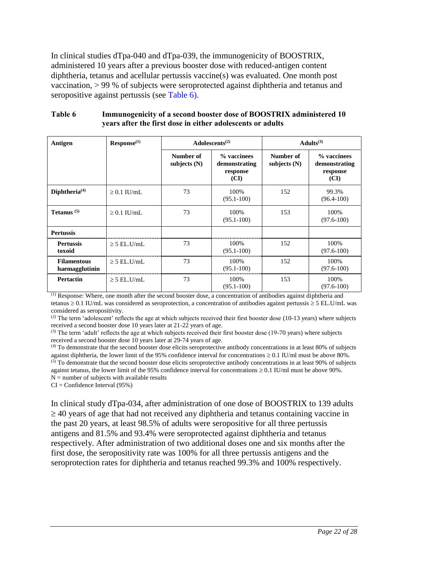In clinical studies dTpa-040 and dTpa-039, the immunogenicity of BOOSTRIX, administered 10 years after a previous booster dose with reduced-antigen content diphtheria, tetanus and acellular pertussis vaccine(s) was evaluated. One month post vaccination, > 99 % of subjects were seroprotected against diphtheria and tetanus and seropositive against pertussis (see [Table 6\)](#page-21-0).

<span id="page-21-0"></span>

| Table 6 | Immunogenicity of a second booster dose of BOOSTRIX administered 10 |
|---------|---------------------------------------------------------------------|
|         | years after the first dose in either adolescents or adults          |

| Antigen                              | Res <i>ponse</i> <sup>(1)</sup> | Adolescents <sup><math>(2)</math></sup> |                                                  | Adults <sup>(3)</sup>       |                                                  |
|--------------------------------------|---------------------------------|-----------------------------------------|--------------------------------------------------|-----------------------------|--------------------------------------------------|
|                                      |                                 | Number of<br>subjects $(N)$             | % vaccinees<br>demonstrating<br>response<br>(CI) | Number of<br>subjects $(N)$ | % vaccinees<br>demonstrating<br>response<br>(CI) |
| Diphtheria <sup>(4)</sup>            | $\geq 0.1$ IU/mL                | 73                                      | 100%<br>$(95.1 - 100)$                           | 152                         | 99.3%<br>$(96.4 - 100)$                          |
| Tetanus $(5)$                        | $\geq 0.1$ IU/mL                | 73                                      | 100\%<br>$(95.1 - 100)$                          | 153                         | 100%<br>$(97.6 - 100)$                           |
| <b>Pertussis</b>                     |                                 |                                         |                                                  |                             |                                                  |
| <b>Pertussis</b><br>toxoid           | $\geq$ 5 EL.U/mL                | 73                                      | 100%<br>$(95.1 - 100)$                           | 152                         | 100%<br>$(97.6 - 100)$                           |
| <b>Filamentous</b><br>haemagglutinin | $\geq$ 5 EL.U/mL                | 73                                      | 100%<br>$(95.1 - 100)$                           | 152                         | 100%<br>$(97.6 - 100)$                           |
| <b>Pertactin</b>                     | $\geq$ 5 EL.U/mL                | 73                                      | 100%<br>$(95.1 - 100)$                           | 153                         | 100%<br>$(97.6 - 100)$                           |

(1) Response: Where, one month after the second booster dose, a concentration of antibodies against diphtheria and tetanus  $\ge 0.1$  IU/mL was considered as seroprotection, a concentration of antibodies against pertussis  $\ge 5$  EL.U/mL was considered as seropositivity.

 $<sup>(2)</sup>$  The term 'adolescent' reflects the age at which subjects received their first booster dose (10-13 years) where subjects</sup> received a second booster dose 10 years later at 21-22 years of age.

(3) The term 'adult' reflects the age at which subjects received their first booster dose (19-70 years) where subjects received a second booster dose 10 years later at 29-74 years of age.

(4) To demonstrate that the second booster dose elicits seroprotective antibody concentrations in at least 80% of subjects against diphtheria, the lower limit of the 95% confidence interval for concentrations  $\geq 0.1$  IU/ml must be above 80%.  $<sup>(5)</sup>$  To demonstrate that the second booster dose elicits seroprotective antibody concentrations in at least 90% of subjects</sup> against tetanus, the lower limit of the 95% confidence interval for concentrations  $\geq 0.1$  IU/ml must be above 90%.  $N =$  number of subjects with available results

 $CI =$  Confidence Interval (95%)

In clinical study dTpa-034, after administration of one dose of BOOSTRIX to 139 adults  $\geq$  40 years of age that had not received any diphtheria and tetanus containing vaccine in the past 20 years, at least 98.5% of adults were seropositive for all three pertussis antigens and 81.5% and 93.4% were seroprotected against diphtheria and tetanus respectively. After administration of two additional doses one and six months after the first dose, the seropositivity rate was 100% for all three pertussis antigens and the seroprotection rates for diphtheria and tetanus reached 99.3% and 100% respectively.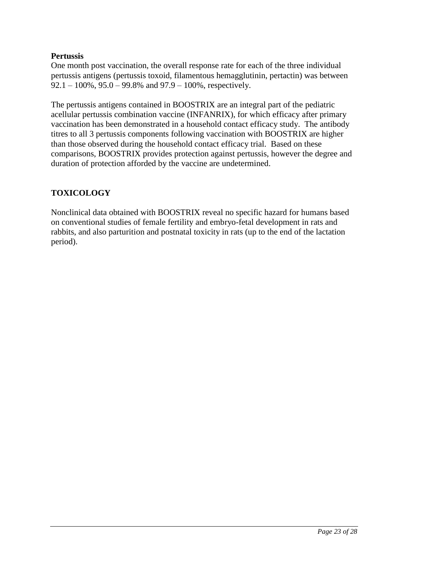## **Pertussis**

One month post vaccination, the overall response rate for each of the three individual pertussis antigens (pertussis toxoid, filamentous hemagglutinin, pertactin) was between 92.1 – 100%, 95.0 – 99.8% and 97.9 – 100%, respectively.

The pertussis antigens contained in BOOSTRIX are an integral part of the pediatric acellular pertussis combination vaccine (INFANRIX), for which efficacy after primary vaccination has been demonstrated in a household contact efficacy study. The antibody titres to all 3 pertussis components following vaccination with BOOSTRIX are higher than those observed during the household contact efficacy trial. Based on these comparisons, BOOSTRIX provides protection against pertussis, however the degree and duration of protection afforded by the vaccine are undetermined.

# **TOXICOLOGY**

Nonclinical data obtained with BOOSTRIX reveal no specific hazard for humans based on conventional studies of female fertility and embryo-fetal development in rats and rabbits, and also parturition and postnatal toxicity in rats (up to the end of the lactation period).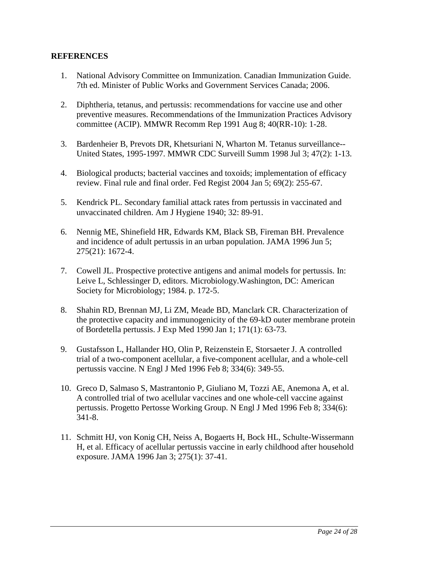## <span id="page-23-0"></span>**REFERENCES**

- 1. National Advisory Committee on Immunization. Canadian Immunization Guide. 7th ed. Minister of Public Works and Government Services Canada; 2006.
- 2. Diphtheria, tetanus, and pertussis: recommendations for vaccine use and other preventive measures. Recommendations of the Immunization Practices Advisory committee (ACIP). MMWR Recomm Rep 1991 Aug 8; 40(RR-10): 1-28.
- 3. Bardenheier B, Prevots DR, Khetsuriani N, Wharton M. Tetanus surveillance-- United States, 1995-1997. MMWR CDC Surveill Summ 1998 Jul 3; 47(2): 1-13.
- 4. Biological products; bacterial vaccines and toxoids; implementation of efficacy review. Final rule and final order. Fed Regist 2004 Jan 5; 69(2): 255-67.
- 5. Kendrick PL. Secondary familial attack rates from pertussis in vaccinated and unvaccinated children. Am J Hygiene 1940; 32: 89-91.
- 6. Nennig ME, Shinefield HR, Edwards KM, Black SB, Fireman BH. Prevalence and incidence of adult pertussis in an urban population. JAMA 1996 Jun 5; 275(21): 1672-4.
- 7. Cowell JL. Prospective protective antigens and animal models for pertussis. In: Leive L, Schlessinger D, editors. Microbiology.Washington, DC: American Society for Microbiology; 1984. p. 172-5.
- 8. Shahin RD, Brennan MJ, Li ZM, Meade BD, Manclark CR. Characterization of the protective capacity and immunogenicity of the 69-kD outer membrane protein of Bordetella pertussis. J Exp Med 1990 Jan 1; 171(1): 63-73.
- 9. Gustafsson L, Hallander HO, Olin P, Reizenstein E, Storsaeter J. A controlled trial of a two-component acellular, a five-component acellular, and a whole-cell pertussis vaccine. N Engl J Med 1996 Feb 8; 334(6): 349-55.
- 10. Greco D, Salmaso S, Mastrantonio P, Giuliano M, Tozzi AE, Anemona A, et al. A controlled trial of two acellular vaccines and one whole-cell vaccine against pertussis. Progetto Pertosse Working Group. N Engl J Med 1996 Feb 8; 334(6): 341-8.
- 11. Schmitt HJ, von Konig CH, Neiss A, Bogaerts H, Bock HL, Schulte-Wissermann H, et al. Efficacy of acellular pertussis vaccine in early childhood after household exposure. JAMA 1996 Jan 3; 275(1): 37-41.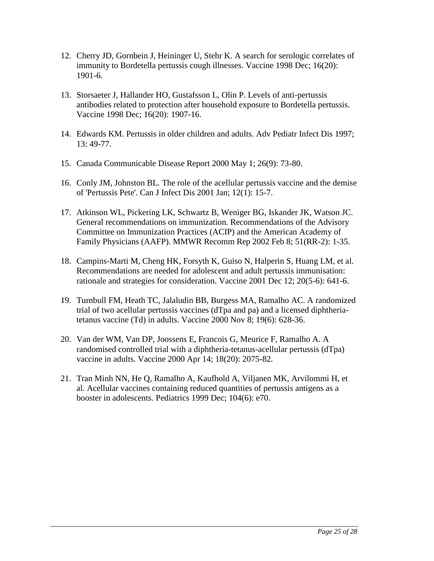- 12. Cherry JD, Gornbein J, Heininger U, Stehr K. A search for serologic correlates of immunity to Bordetella pertussis cough illnesses. Vaccine 1998 Dec; 16(20): 1901-6.
- 13. Storsaeter J, Hallander HO, Gustafsson L, Olin P. Levels of anti-pertussis antibodies related to protection after household exposure to Bordetella pertussis. Vaccine 1998 Dec; 16(20): 1907-16.
- 14. Edwards KM. Pertussis in older children and adults. Adv Pediatr Infect Dis 1997; 13: 49-77.
- 15. Canada Communicable Disease Report 2000 May 1; 26(9): 73-80.
- 16. Conly JM, Johnston BL. The role of the acellular pertussis vaccine and the demise of 'Pertussis Pete'. Can J Infect Dis 2001 Jan; 12(1): 15-7.
- 17. Atkinson WL, Pickering LK, Schwartz B, Weniger BG, Iskander JK, Watson JC. General recommendations on immunization. Recommendations of the Advisory Committee on Immunization Practices (ACIP) and the American Academy of Family Physicians (AAFP). MMWR Recomm Rep 2002 Feb 8; 51(RR-2): 1-35.
- 18. Campins-Marti M, Cheng HK, Forsyth K, Guiso N, Halperin S, Huang LM, et al. Recommendations are needed for adolescent and adult pertussis immunisation: rationale and strategies for consideration. Vaccine 2001 Dec 12; 20(5-6): 641-6.
- 19. Turnbull FM, Heath TC, Jalaludin BB, Burgess MA, Ramalho AC. A randomized trial of two acellular pertussis vaccines (dTpa and pa) and a licensed diphtheriatetanus vaccine (Td) in adults. Vaccine 2000 Nov 8; 19(6): 628-36.
- 20. Van der WM, Van DP, Joossens E, Francois G, Meurice F, Ramalho A. A randomised controlled trial with a diphtheria-tetanus-acellular pertussis (dTpa) vaccine in adults. Vaccine 2000 Apr 14; 18(20): 2075-82.
- 21. Tran Minh NN, He Q, Ramalho A, Kaufhold A, Viljanen MK, Arvilommi H, et al. Acellular vaccines containing reduced quantities of pertussis antigens as a booster in adolescents. Pediatrics 1999 Dec; 104(6): e70.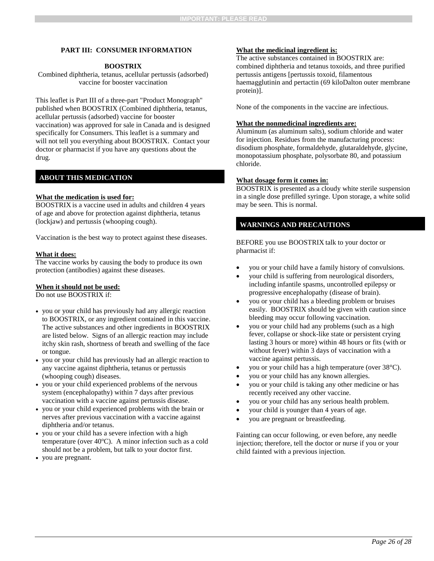#### <span id="page-25-0"></span>**PART III: CONSUMER INFORMATION**

#### **BOOSTRIX**

Combined diphtheria, tetanus, acellular pertussis (adsorbed) vaccine for booster vaccination

This leaflet is Part III of a three-part "Product Monograph" published when BOOSTRIX (Combined diphtheria, tetanus, acellular pertussis (adsorbed) vaccine for booster vaccination) was approved for sale in Canada and is designed specifically for Consumers. This leaflet is a summary and will not tell you everything about BOOSTRIX. Contact your doctor or pharmacist if you have any questions about the drug.

### **ABOUT THIS MEDICATION**

#### **What the medication is used for:**

BOOSTRIX is a vaccine used in adults and children 4 years of age and above for protection against diphtheria, tetanus (lockjaw) and pertussis (whooping cough).

Vaccination is the best way to protect against these diseases.

#### **What it does:**

The vaccine works by causing the body to produce its own protection (antibodies) against these diseases.

#### **When it should not be used:**

Do not use BOOSTRIX if:

- you or your child has previously had any allergic reaction to BOOSTRIX, or any ingredient contained in this vaccine. The active substances and other ingredients in BOOSTRIX are listed below. Signs of an allergic reaction may include itchy skin rash, shortness of breath and swelling of the face or tongue.
- you or your child has previously had an allergic reaction to any vaccine against diphtheria, tetanus or pertussis (whooping cough) diseases.
- you or your child experienced problems of the nervous system (encephalopathy) within 7 days after previous vaccination with a vaccine against pertussis disease.
- you or your child experienced problems with the brain or nerves after previous vaccination with a vaccine against diphtheria and/or tetanus.
- you or your child has a severe infection with a high temperature (over  $40^{\circ}$ C). A minor infection such as a cold should not be a problem, but talk to your doctor first.
- you are pregnant.

#### **What the medicinal ingredient is:**

The active substances contained in BOOSTRIX are: combined diphtheria and tetanus toxoids, and three purified pertussis antigens [pertussis toxoid, filamentous haemagglutinin and pertactin (69 kiloDalton outer membrane protein)].

None of the components in the vaccine are infectious.

#### **What the nonmedicinal ingredients are:**

Aluminum (as aluminum salts), sodium chloride and water for injection. Residues from the manufacturing process: disodium phosphate, formaldehyde, glutaraldehyde, glycine, monopotassium phosphate, polysorbate 80, and potassium chloride.

#### **What dosage form it comes in:**

BOOSTRIX is presented as a cloudy white sterile suspension in a single dose prefilled syringe. Upon storage, a white solid may be seen. This is normal.

### **WARNINGS AND PRECAUTIONS**

BEFORE you use BOOSTRIX talk to your doctor or pharmacist if:

- you or your child have a family history of convulsions.
- your child is suffering from neurological disorders, including infantile spasms, uncontrolled epilepsy or progressive encephalopathy (disease of brain).
- you or your child has a bleeding problem or bruises easily. BOOSTRIX should be given with caution since bleeding may occur following vaccination.
- you or your child had any problems (such as a high fever, collapse or shock-like state or persistent crying lasting 3 hours or more) within 48 hours or fits (with or without fever) within 3 days of vaccination with a vaccine against pertussis.
- you or your child has a high temperature (over 38°C).
- you or your child has any known allergies.
- you or your child is taking any other medicine or has recently received any other vaccine.
- you or your child has any serious health problem.
- your child is younger than 4 years of age.
- you are pregnant or breastfeeding.

Fainting can occur following, or even before, any needle injection; therefore, tell the doctor or nurse if you or your child fainted with a previous injection.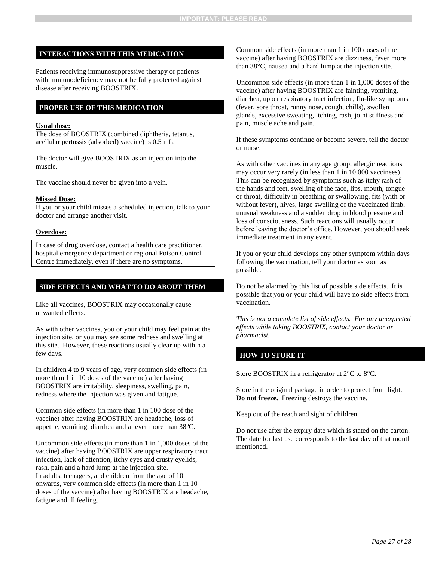### INTERACTIONS WITH THIS MEDICATION

Patients receiving immunosuppressive therapy or patients with immunodeficiency may not be fully protected against disease after receiving BOOSTRIX.

### **PROPER USE OF THIS MEDICATION**

#### **Usual dose:**

The dose of BOOSTRIX (combined diphtheria, tetanus, acellular pertussis (adsorbed) vaccine) is 0.5 mL.

The doctor will give BOOSTRIX as an injection into the muscle.

The vaccine should never be given into a vein.

#### **Missed Dose:**

If you or your child misses a scheduled injection, talk to your doctor and arrange another visit.

#### **Overdose:**

In case of drug overdose, contact a health care practitioner, hospital emergency department or regional Poison Control Centre immediately, even if there are no symptoms.

#### **SIDE EFFECTS AND WHAT TO DO ABOUT THEM**

Like all vaccines, BOOSTRIX may occasionally cause unwanted effects.

As with other vaccines, you or your child may feel pain at the injection site, or you may see some redness and swelling at this site. However, these reactions usually clear up within a few days.

In children 4 to 9 years of age, very common side effects (in more than 1 in 10 doses of the vaccine) after having BOOSTRIX are irritability, sleepiness, swelling, pain, redness where the injection was given and fatigue.

Common side effects (in more than 1 in 100 dose of the vaccine) after having BOOSTRIX are headache, loss of appetite, vomiting, diarrhea and a fever more than  $38^{\circ}$ C.

Uncommon side effects (in more than 1 in 1,000 doses of the vaccine) after having BOOSTRIX are upper respiratory tract infection, lack of attention, itchy eyes and crusty eyelids, rash, pain and a hard lump at the injection site. In adults, teenagers, and children from the age of 10 onwards, very common side effects (in more than 1 in 10 doses of the vaccine) after having BOOSTRIX are headache, fatigue and ill feeling.

Common side effects (in more than 1 in 100 doses of the vaccine) after having BOOSTRIX are dizziness, fever more than 38°C, nausea and a hard lump at the injection site.

Uncommon side effects (in more than 1 in 1,000 doses of the vaccine) after having BOOSTRIX are fainting, vomiting, diarrhea, upper respiratory tract infection, flu-like symptoms (fever, sore throat, runny nose, cough, chills), swollen glands, excessive sweating, itching, rash, joint stiffness and pain, muscle ache and pain.

If these symptoms continue or become severe, tell the doctor or nurse.

As with other vaccines in any age group, allergic reactions may occur very rarely (in less than 1 in 10,000 vaccinees). This can be recognized by symptoms such as itchy rash of the hands and feet, swelling of the face, lips, mouth, tongue or throat, difficulty in breathing or swallowing, fits (with or without fever), hives, large swelling of the vaccinated limb, unusual weakness and a sudden drop in blood pressure and loss of consciousness. Such reactions will usually occur before leaving the doctor's office. However, you should seek immediate treatment in any event.

If you or your child develops any other symptom within days following the vaccination, tell your doctor as soon as possible.

Do not be alarmed by this list of possible side effects. It is possible that you or your child will have no side effects from vaccination.

*This is not a complete list of side effects. For any unexpected effects while taking BOOSTRIX, contact your doctor or pharmacist.*

#### **HOW TO STORE IT**

Store BOOSTRIX in a refrigerator at  $2^{\circ}C$  to  $8^{\circ}C$ .

Store in the original package in order to protect from light. **Do not freeze.** Freezing destroys the vaccine.

Keep out of the reach and sight of children.

Do not use after the expiry date which is stated on the carton. The date for last use corresponds to the last day of that month mentioned.